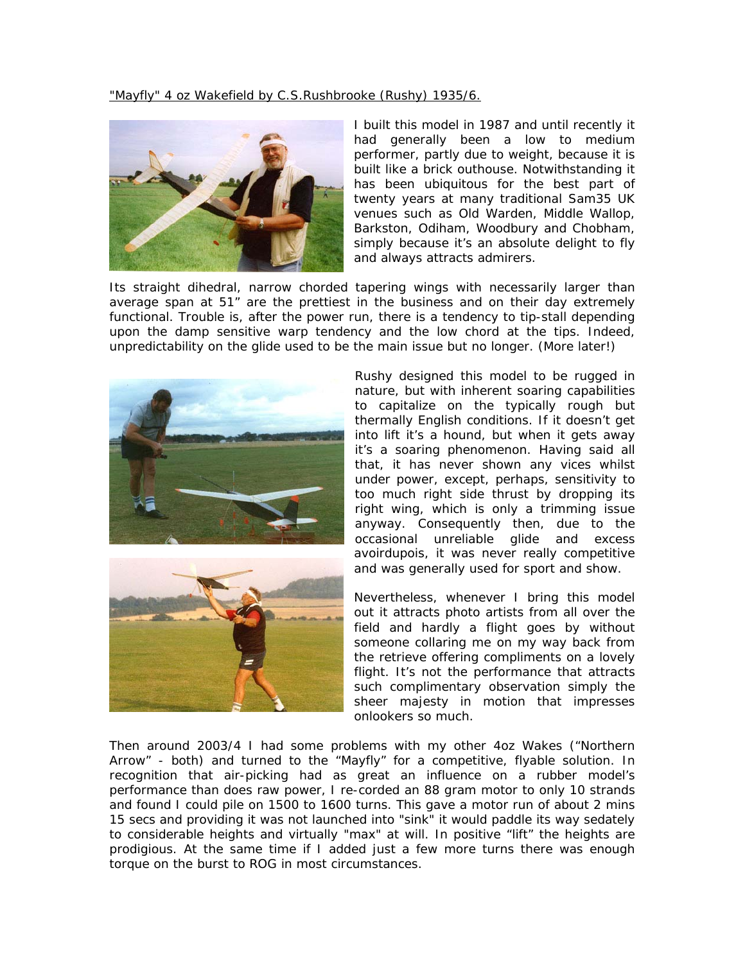"Mayfly" 4 oz Wakefield by C.S.Rushbrooke (Rushy) 1935/6.



I built this model in 1987 and until recently it had generally been a low to medium performer, partly due to weight, because it is built like a brick outhouse. Notwithstanding it has been ubiquitous for the best part of twenty years at many traditional Sam35 UK venues such as Old Warden, Middle Wallop, Barkston, Odiham, Woodbury and Chobham, simply because it's an absolute delight to fly and always attracts admirers.

Its straight dihedral, narrow chorded tapering wings with necessarily larger than average span at 51" are the prettiest in the business and on their day extremely functional. Trouble is, after the power run, there is a tendency to tip-stall depending upon the damp sensitive warp tendency and the low chord at the tips. Indeed, unpredictability on the glide used to be the main issue but no longer. (More later!)





Rushy designed this model to be rugged in nature, but with inherent soaring capabilities to capitalize on the typically rough but thermally English conditions. If it doesn't get into lift it's a hound, but when it gets away it's a soaring phenomenon. Having said all that, it has never shown any vices whilst under power, except, perhaps, sensitivity to too much right side thrust by dropping its right wing, which is only a trimming issue anyway. Consequently then, due to the occasional unreliable glide and excess avoirdupois, it was never really competitive and was generally used for sport and show.

Nevertheless, whenever I bring this model out it attracts photo artists from all over the field and hardly a flight goes by without someone collaring me on my way back from the retrieve offering compliments on a lovely flight. It's not the performance that attracts such complimentary observation simply the sheer majesty in motion that impresses onlookers so much.

Then around 2003/4 I had some problems with my other 4oz Wakes ("Northern Arrow" - both) and turned to the "Mayfly" for a competitive, flyable solution. In recognition that air-picking had as great an influence on a rubber model's performance than does raw power, I re-corded an 88 gram motor to only 10 strands and found I could pile on 1500 to 1600 turns. This gave a motor run of about 2 mins 15 secs and providing it was not launched into "sink" it would paddle its way sedately to considerable heights and virtually "max" at will. In positive "lift" the heights are prodigious. At the same time if I added just a few more turns there was enough torque on the burst to ROG in most circumstances.